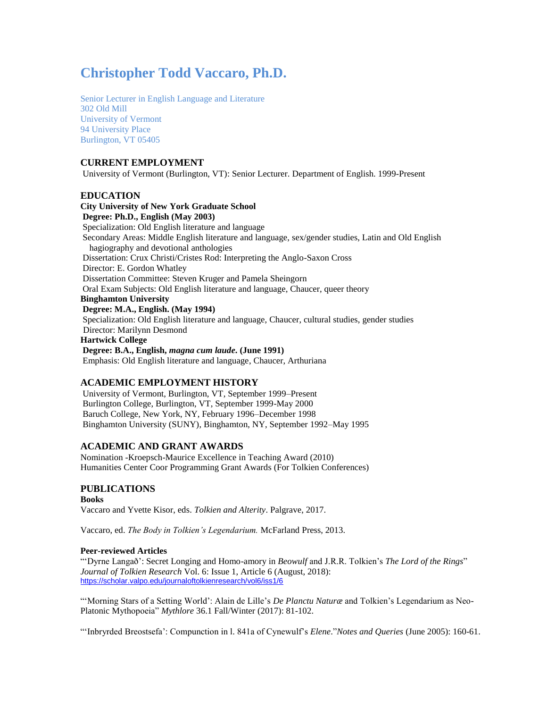# **Christopher Todd Vaccaro, Ph.D.**

Senior Lecturer in English Language and Literature 302 Old Mill University of Vermont 94 University Place Burlington, VT 05405

# **CURRENT EMPLOYMENT**

University of Vermont (Burlington, VT): Senior Lecturer. Department of English. 1999-Present

# **EDUCATION**

**City University of New York Graduate School Degree: Ph.D., English (May 2003)** Specialization: Old English literature and language Secondary Areas: Middle English literature and language, sex/gender studies, Latin and Old English hagiography and devotional anthologies Dissertation: Crux Christi/Cristes Rod: Interpreting the Anglo-Saxon Cross Director: E. Gordon Whatley Dissertation Committee: Steven Kruger and Pamela Sheingorn Oral Exam Subjects: Old English literature and language, Chaucer, queer theory **Binghamton University Degree: M.A., English. (May 1994)** Specialization: Old English literature and language, Chaucer, cultural studies, gender studies Director: Marilynn Desmond **Hartwick College Degree: B.A., English,** *magna cum laude***. (June 1991)** Emphasis: Old English literature and language, Chaucer, Arthuriana

# **ACADEMIC EMPLOYMENT HISTORY**

University of Vermont, Burlington, VT, September 1999–Present Burlington College, Burlington, VT, September 1999-May 2000 Baruch College, New York, NY, February 1996–December 1998 Binghamton University (SUNY), Binghamton, NY, September 1992–May 1995

# **ACADEMIC AND GRANT AWARDS**

Nomination -Kroepsch-Maurice Excellence in Teaching Award (2010) Humanities Center Coor Programming Grant Awards (For Tolkien Conferences)

# **PUBLICATIONS**

# **Books**

Vaccaro and Yvette Kisor, eds. *Tolkien and Alterity*. Palgrave, 2017.

Vaccaro, ed. *The Body in Tolkien's Legendarium.* McFarland Press, 2013.

# **Peer-reviewed Articles**

"'Dyrne Langað': Secret Longing and Homo-amory in *Beowulf* and J.R.R. Tolkien's *The Lord of the Rings*" *Journal of Tolkien Research* Vol. 6: Issue 1, Article 6 (August, 2018): <https://scholar.valpo.edu/journaloftolkienresearch/vol6/iss1/6>

"'Morning Stars of a Setting World': Alain de Lille's *De Planctu Naturæ* and Tolkien's Legendarium as Neo-Platonic Mythopoeia" *Mythlore* 36.1 Fall/Winter (2017): 81-102.

"'Inbryrded Breostsefa': Compunction in l. 841a of Cynewulf's *Elene*."*Notes and Queries* (June 2005): 160-61.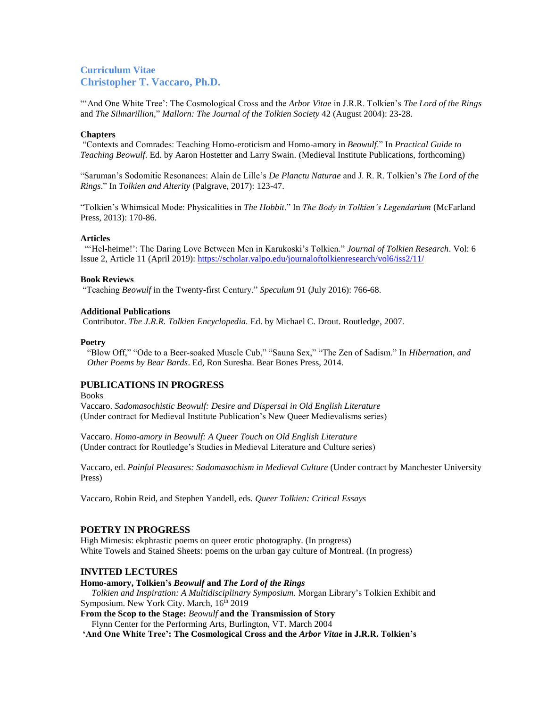"'And One White Tree': The Cosmological Cross and the *Arbor Vitae* in J.R.R. Tolkien's *The Lord of the Rings* and *The Silmarillion,*" *Mallorn: The Journal of the Tolkien Society* 42 (August 2004): 23-28.

#### **Chapters**

"Contexts and Comrades: Teaching Homo-eroticism and Homo-amory in *Beowulf*." In *Practical Guide to Teaching Beowulf*. Ed. by Aaron Hostetter and Larry Swain. (Medieval Institute Publications, forthcoming)

"Saruman's Sodomitic Resonances: Alain de Lille's *De Planctu Naturae* and J. R. R. Tolkien's *The Lord of the Rings*." In *Tolkien and Alterity* (Palgrave, 2017): 123-47.

"Tolkien's Whimsical Mode: Physicalities in *The Hobbit*." In *The Body in Tolkien's Legendarium* (McFarland Press, 2013): 170-86.

#### **Articles**

 "'Hel-heime!': The Daring Love Between Men in Karukoski's Tolkien." *Journal of Tolkien Research*. Vol: 6 Issue 2, Article 11 (April 2019):<https://scholar.valpo.edu/journaloftolkienresearch/vol6/iss2/11/>

#### **Book Reviews**

"Teaching *Beowulf* in the Twenty-first Century." *Speculum* 91 (July 2016): 766-68.

#### **Additional Publications**

Contributor. *The J.R.R. Tolkien Encyclopedia.* Ed. by Michael C. Drout. Routledge, 2007.

#### **Poetry**

 "Blow Off," "Ode to a Beer-soaked Muscle Cub," "Sauna Sex," "The Zen of Sadism." In *Hibernation, and Other Poems by Bear Bards*. Ed, Ron Suresha. Bear Bones Press, 2014.

# **PUBLICATIONS IN PROGRESS**

**Books** 

Vaccaro. *Sadomasochistic Beowulf: Desire and Dispersal in Old English Literature* (Under contract for Medieval Institute Publication's New Queer Medievalisms series)

Vaccaro. *Homo-amory in Beowulf: A Queer Touch on Old English Literature* (Under contract for Routledge's Studies in Medieval Literature and Culture series)

Vaccaro, ed. *Painful Pleasures: Sadomasochism in Medieval Culture* (Under contract by Manchester University Press)

Vaccaro, Robin Reid, and Stephen Yandell, eds. *Queer Tolkien: Critical Essays*

#### **POETRY IN PROGRESS**

High Mimesis: ekphrastic poems on queer erotic photography. (In progress) White Towels and Stained Sheets: poems on the urban gay culture of Montreal. (In progress)

#### **INVITED LECTURES**

#### **Homo-amory, Tolkien's** *Beowulf* **and** *The Lord of the Rings*

*Tolkien and Inspiration: A Multidisciplinary Symposium.* Morgan Library's Tolkien Exhibit and Symposium. New York City. March, 16<sup>th</sup> 2019

**From the Scop to the Stage:** *Beowulf* **and the Transmission of Story** Flynn Center for the Performing Arts, Burlington, VT. March 2004

**'And One White Tree': The Cosmological Cross and the** *Arbor Vitae* **in J.R.R. Tolkien's**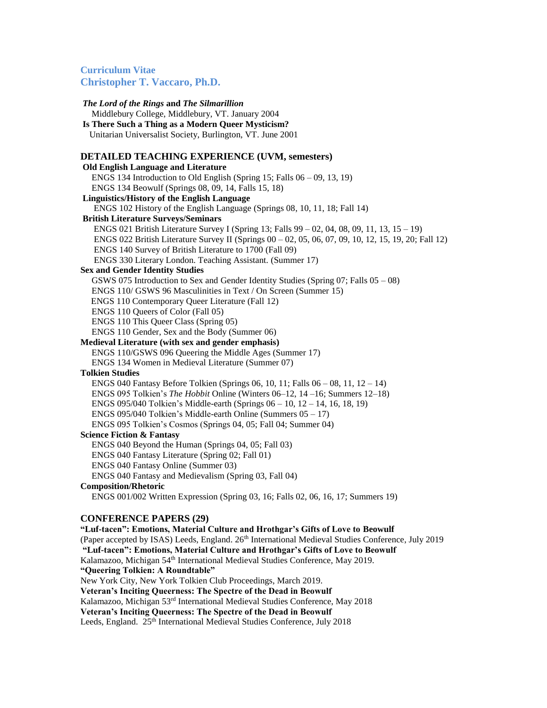*The Lord of the Rings* **and** *The Silmarillion* Middlebury College, Middlebury, VT. January 2004 **Is There Such a Thing as a Modern Queer Mysticism?** Unitarian Universalist Society, Burlington, VT. June 2001 **DETAILED TEACHING EXPERIENCE (UVM, semesters) Old English Language and Literature** ENGS 134 Introduction to Old English (Spring 15; Falls  $06 - 09$ , 13, 19) ENGS 134 Beowulf (Springs 08, 09, 14, Falls 15, 18) **Linguistics/History of the English Language** ENGS 102 History of the English Language (Springs 08, 10, 11, 18; Fall 14) **British Literature Surveys/Seminars** ENGS 021 British Literature Survey I (Spring 13; Falls 99 – 02, 04, 08, 09, 11, 13, 15 – 19) ENGS 022 British Literature Survey II (Springs 00 – 02, 05, 06, 07, 09, 10, 12, 15, 19, 20; Fall 12) ENGS 140 Survey of British Literature to 1700 (Fall 09) ENGS 330 Literary London. Teaching Assistant. (Summer 17) **Sex and Gender Identity Studies** GSWS 075 Introduction to Sex and Gender Identity Studies (Spring 07; Falls 05 – 08) ENGS 110/ GSWS 96 Masculinities in Text / On Screen (Summer 15) ENGS 110 Contemporary Queer Literature (Fall 12) ENGS 110 Queers of Color (Fall 05) ENGS 110 This Queer Class (Spring 05) ENGS 110 Gender, Sex and the Body (Summer 06) **Medieval Literature (with sex and gender emphasis)** ENGS 110/GSWS 096 Queering the Middle Ages (Summer 17) ENGS 134 Women in Medieval Literature (Summer 07) **Tolkien Studies** ENGS 040 Fantasy Before Tolkien (Springs 06, 10, 11; Falls 06 – 08, 11, 12 – 14) ENGS 095 Tolkien's *The Hobbit* Online (Winters 06–12, 14 –16; Summers 12–18) ENGS 095/040 Tolkien's Middle-earth (Springs 06 – 10, 12 – 14, 16, 18, 19) ENGS 095/040 Tolkien's Middle-earth Online (Summers 05 – 17) ENGS 095 Tolkien's Cosmos (Springs 04, 05; Fall 04; Summer 04) **Science Fiction & Fantasy** ENGS 040 Beyond the Human (Springs 04, 05; Fall 03) ENGS 040 Fantasy Literature (Spring 02; Fall 01) ENGS 040 Fantasy Online (Summer 03) ENGS 040 Fantasy and Medievalism (Spring 03, Fall 04) **Composition/Rhetoric** ENGS 001/002 Written Expression (Spring 03, 16; Falls 02, 06, 16, 17; Summers 19) **CONFERENCE PAPERS (29) "Luf-tacen": Emotions, Material Culture and Hrothgar's Gifts of Love to Beowulf** (Paper accepted by ISAS) Leeds, England. 26<sup>th</sup> International Medieval Studies Conference, July 2019 **"Luf-tacen": Emotions, Material Culture and Hrothgar's Gifts of Love to Beowulf** Kalamazoo, Michigan 54<sup>th</sup> International Medieval Studies Conference, May 2019. **"Queering Tolkien: A Roundtable"** New York City, New York Tolkien Club Proceedings, March 2019. **Veteran's Inciting Queerness: The Spectre of the Dead in Beowulf** Kalamazoo, Michigan 53rd International Medieval Studies Conference, May 2018 **Veteran's Inciting Queerness: The Spectre of the Dead in Beowulf** Leeds, England. 25<sup>th</sup> International Medieval Studies Conference, July 2018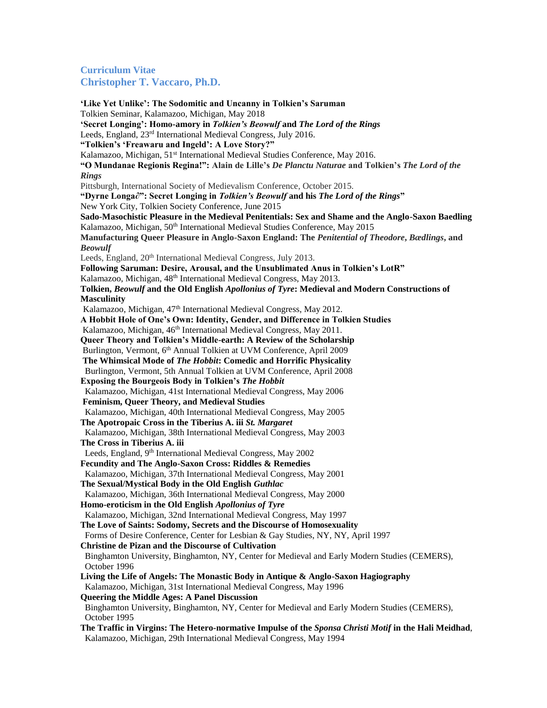**'Like Yet Unlike': The Sodomitic and Uncanny in Tolkien's Saruman** Tolkien Seminar, Kalamazoo, Michigan, May 2018 **'Secret Longing': Homo-amory in** *Tolkien's Beowulf* **and** *The Lord of the Rings* Leeds, England, 23rd International Medieval Congress, July 2016. **"Tolkien's 'Freawaru and Ingeld': A Love Story?"** Kalamazoo, Michigan, 51<sup>st</sup> International Medieval Studies Conference, May 2016. **"O Mundanae Regionis Regina!": Alain de Lille's** *De Planctu Naturae* **and Tolkien's** *The Lord of the Rings* Pittsburgh, International Society of Medievalism Conference, October 2015. **"Dyrne Longa∂": Secret Longing in** *Tolkien's Beowulf* **and his** *The Lord of the Rings***"** New York City, Tolkien Society Conference, June 2015 **Sado-Masochistic Pleasure in the Medieval Penitentials: Sex and Shame and the Anglo-Saxon Baedling** Kalamazoo, Michigan, 50<sup>th</sup> International Medieval Studies Conference, May 2015 **Manufacturing Queer Pleasure in Anglo-Saxon England: The** *Penitential of Theodore***,** *Bædlings***, and**  *Beowulf* Leeds, England, 20<sup>th</sup> International Medieval Congress, July 2013. **Following Saruman: Desire, Arousal, and the Unsublimated Anus in Tolkien's LotR"** Kalamazoo, Michigan, 48<sup>th</sup> International Medieval Congress, May 2013. **Tolkien,** *Beowulf* **and the Old English** *Apollonius of Tyre***: Medieval and Modern Constructions of Masculinity** Kalamazoo, Michigan, 47<sup>th</sup> International Medieval Congress, May 2012. **A Hobbit Hole of One's Own: Identity, Gender, and Difference in Tolkien Studies** Kalamazoo, Michigan, 46<sup>th</sup> International Medieval Congress, May 2011. **Queer Theory and Tolkien's Middle-earth: A Review of the Scholarship** Burlington, Vermont, 6<sup>th</sup> Annual Tolkien at UVM Conference, April 2009 **The Whimsical Mode of** *The Hobbit***: Comedic and Horrific Physicality** Burlington, Vermont, 5th Annual Tolkien at UVM Conference, April 2008 **Exposing the Bourgeois Body in Tolkien's** *The Hobbit* Kalamazoo, Michigan, 41st International Medieval Congress, May 2006 **Feminism, Queer Theory, and Medieval Studies**  Kalamazoo, Michigan, 40th International Medieval Congress, May 2005 **The Apotropaic Cross in the Tiberius A. iii** *St. Margaret* Kalamazoo, Michigan, 38th International Medieval Congress, May 2003 **The Cross in Tiberius A. iii** Leeds, England, 9<sup>th</sup> International Medieval Congress, May 2002 **Fecundity and The Anglo-Saxon Cross: Riddles & Remedies** Kalamazoo, Michigan, 37th International Medieval Congress, May 2001 **The Sexual/Mystical Body in the Old English** *Guthlac* Kalamazoo, Michigan, 36th International Medieval Congress, May 2000 **Homo-eroticism in the Old English** *Apollonius of Tyre* Kalamazoo, Michigan, 32nd International Medieval Congress, May 1997 **The Love of Saints: Sodomy, Secrets and the Discourse of Homosexuality** Forms of Desire Conference, Center for Lesbian & Gay Studies, NY, NY, April 1997 **Christine de Pizan and the Discourse of Cultivation** Binghamton University, Binghamton, NY, Center for Medieval and Early Modern Studies (CEMERS), October 1996 **Living the Life of Angels: The Monastic Body in Antique & Anglo-Saxon Hagiography** Kalamazoo, Michigan, 31st International Medieval Congress, May 1996 **Queering the Middle Ages: A Panel Discussion** Binghamton University, Binghamton, NY, Center for Medieval and Early Modern Studies (CEMERS), October 1995 **The Traffic in Virgins: The Hetero-normative Impulse of the** *Sponsa Christi Motif* **in the Hali Meidhad**, Kalamazoo, Michigan, 29th International Medieval Congress, May 1994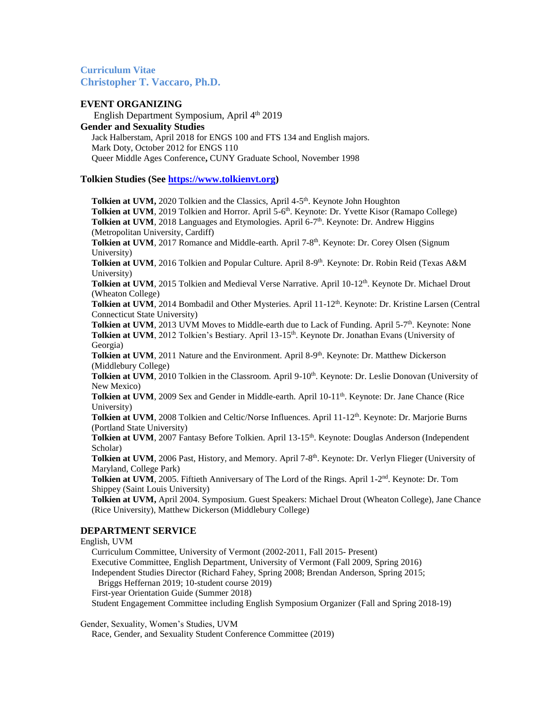## **EVENT ORGANIZING**

 English Department Symposium, April 4th 2019 **Gender and Sexuality Studies** Jack Halberstam, April 2018 for ENGS 100 and FTS 134 and English majors. Mark Doty, October 2012 for ENGS 110 Queer Middle Ages Conference**,** CUNY Graduate School, November 1998

## **Tolkien Studies (See [https://www.tolkienvt.org\)](https://www.tolkienvt.org/)**

Tolkien at UVM, 2020 Tolkien and the Classics, April 4-5<sup>th</sup>. Keynote John Houghton Tolkien at UVM, 2019 Tolkien and Horror. April 5-6<sup>th</sup>. Keynote: Dr. Yvette Kisor (Ramapo College) **Tolkien at UVM**, 2018 Languages and Etymologies. April 6-7<sup>th</sup>. Keynote: Dr. Andrew Higgins (Metropolitan University, Cardiff) **Tolkien at UVM**, 2017 Romance and Middle-earth. April 7-8<sup>th</sup>. Keynote: Dr. Corey Olsen (Signum University)  **Tolkien at UVM**, 2016 Tolkien and Popular Culture. April 8-9 th. Keynote: Dr. Robin Reid (Texas A&M University) **Tolkien at UVM**, 2015 Tolkien and Medieval Verse Narrative. April 10-12<sup>th</sup>. Keynote Dr. Michael Drout (Wheaton College) Tolkien at UVM, 2014 Bombadil and Other Mysteries. April 11-12<sup>th</sup>. Keynote: Dr. Kristine Larsen (Central Connecticut State University) **Tolkien at UVM**, 2013 UVM Moves to Middle-earth due to Lack of Funding. April 5-7<sup>th</sup>. Keynote: None Tolkien at UVM, 2012 Tolkien's Bestiary. April 13-15<sup>th</sup>. Keynote Dr. Jonathan Evans (University of Georgia) **Tolkien at UVM**, 2011 Nature and the Environment. April 8-9<sup>th</sup>. Keynote: Dr. Matthew Dickerson (Middlebury College) **Tolkien at UVM**, 2010 Tolkien in the Classroom. April 9-10<sup>th</sup>. Keynote: Dr. Leslie Donovan (University of New Mexico) **Tolkien at UVM**, 2009 Sex and Gender in Middle-earth. April 10-11<sup>th</sup>. Keynote: Dr. Jane Chance (Rice University)  **Tolkien at UVM**, 2008 Tolkien and Celtic/Norse Influences. April 11-12th. Keynote: Dr. Marjorie Burns (Portland State University) Tolkien at UVM, 2007 Fantasy Before Tolkien. April 13-15<sup>th</sup>. Keynote: Douglas Anderson (Independent Scholar) Tolkien at UVM, 2006 Past, History, and Memory. April 7-8<sup>th</sup>. Keynote: Dr. Verlyn Flieger (University of Maryland, College Park) **Tolkien at UVM**, 2005. Fiftieth Anniversary of The Lord of the Rings. April 1-2<sup>nd</sup>. Keynote: Dr. Tom Shippey (Saint Louis University)  **Tolkien at UVM,** April 2004. Symposium. Guest Speakers: Michael Drout (Wheaton College), Jane Chance (Rice University), Matthew Dickerson (Middlebury College) **DEPARTMENT SERVICE** English, UVM Curriculum Committee, University of Vermont (2002-2011, Fall 2015- Present) Executive Committee, English Department, University of Vermont (Fall 2009, Spring 2016)

Independent Studies Director (Richard Fahey, Spring 2008; Brendan Anderson, Spring 2015;

Briggs Heffernan 2019; 10-student course 2019)

First-year Orientation Guide (Summer 2018)

Student Engagement Committee including English Symposium Organizer (Fall and Spring 2018-19)

Gender, Sexuality, Women's Studies, UVM

Race, Gender, and Sexuality Student Conference Committee (2019)